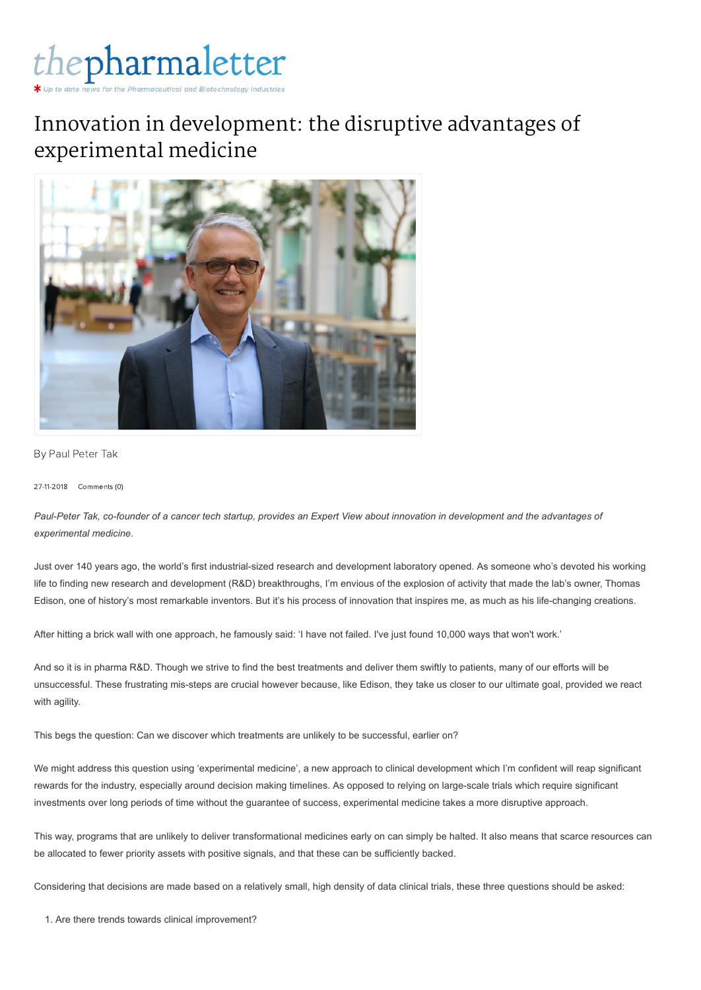

## Innovation in development: the disruptive advantages of experimental medicine



By Paul [Peter](https://www.thepharmaletter.com/author/paul-peter-tak) Tak

27-11-2018 Comments (0)

*Paul-Peter Tak, co-founder of a cancer tech startup, provides an Expert View about innovation in development and the advantages of experimental medicine.*

Just over 140 years ago, the world's first industrial-sized research and development laboratory opened. As someone who's devoted his working life to finding new research and development (R&D) breakthroughs, I'm envious of the explosion of activity that made the lab's owner, Thomas Edison, one of history's most remarkable inventors. But it's his process of innovation that inspires me, as much as his life-changing creations.

After hitting a brick wall with one approach, he famously said: 'I have not failed. I've just found 10,000 ways that won't work.'

And so it is in pharma R&D. Though we strive to find the best treatments and deliver them swiftly to patients, many of our efforts will be unsuccessful. These frustrating mis-steps are crucial however because, like Edison, they take us closer to our ultimate goal, provided we react with agility.

This begs the question: Can we discover which treatments are unlikely to be successful, earlier on?

We might address this question using 'experimental medicine', a new approach to clinical development which I'm confident will reap significant rewards for the industry, especially around decision making timelines. As opposed to relying on large-scale trials which require significant investments over long periods of time without the guarantee of success, experimental medicine takes a more disruptive approach.

This way, programs that are unlikely to deliver transformational medicines early on can simply be halted. It also means that scarce resources can be allocated to fewer priority assets with positive signals, and that these can be sufficiently backed.

Considering that decisions are made based on a relatively small, high density of data clinical trials, these three questions should be asked:

1. Are there trends towards clinical improvement?